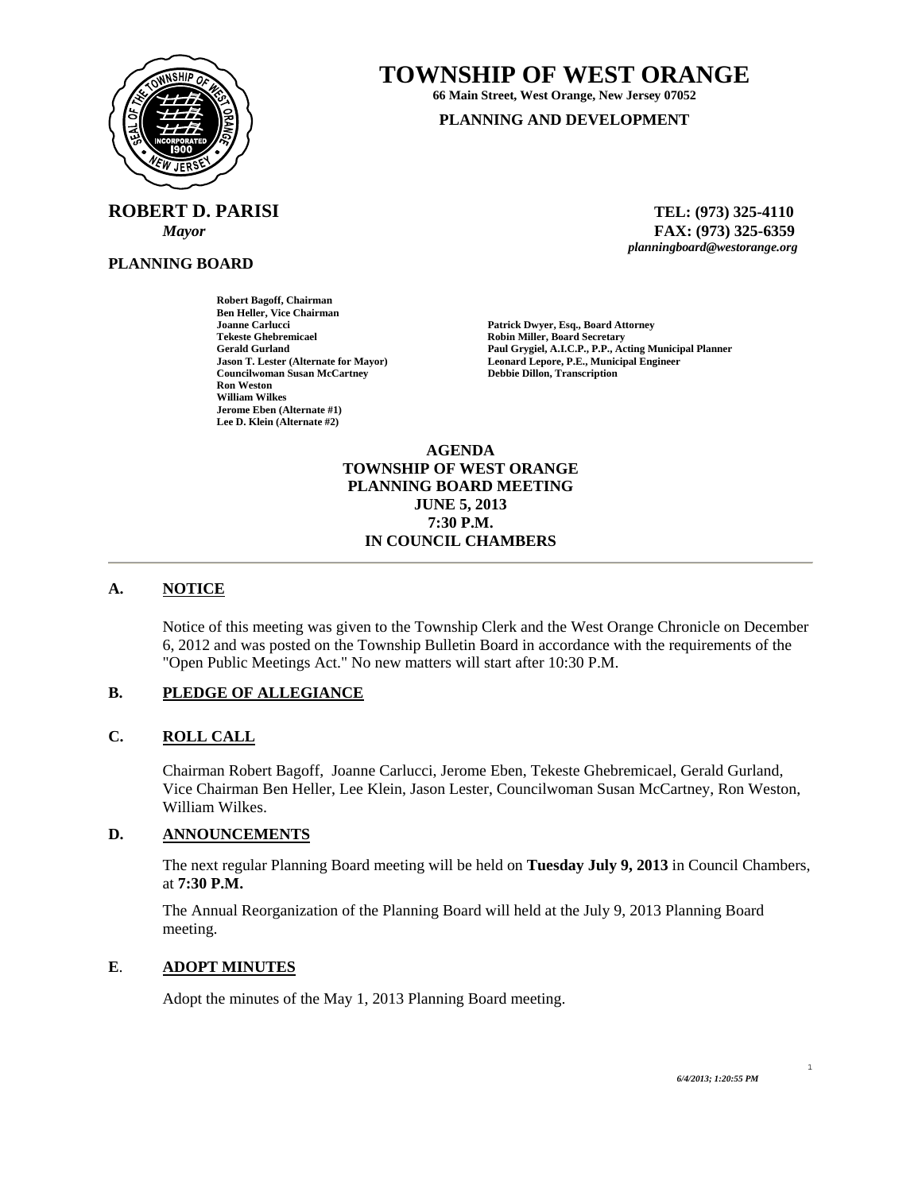

**ROBERT D. PARISI TEL: (973) 325-4110** 

**PLANNING BOARD**

**TOWNSHIP OF WEST ORANGE** 

**66 Main Street, West Orange, New Jersey 07052 PLANNING AND DEVELOPMENT**

 *Mayor* **FAX: (973) 325-6359** *planningboard@westorange.org* 

**Joanne Carlucci Patrick Dwyer, Esq., Board Attorney**  Gerald Gurland **Paul Grygiel, A.I.C.P., P.P., Acting Municipal Planner**<br> **Paul Grygiel, A.I.C.P., P.P., Acting Municipal Planner**<br> **Paul Grygiel, A.I.C.P., P.P., Acting Municipal Planner Leonard Lepore, P.E., Municipal Engineer Debbie Dillon, Transcription** 

**Ben Heller, Vice Chairman Tekeste Ghebremicael Robin Miller, Board Secretary Councilwoman Susan McCartney Ron Weston William Wilkes Jerome Eben (Alternate #1) Lee D. Klein (Alternate #2)** 

**Robert Bagoff, Chairman** 

**AGENDA TOWNSHIP OF WEST ORANGE PLANNING BOARD MEETING JUNE 5, 2013 7:30 P.M. IN COUNCIL CHAMBERS** 

# **A. NOTICE**

Notice of this meeting was given to the Township Clerk and the West Orange Chronicle on December 6, 2012 and was posted on the Township Bulletin Board in accordance with the requirements of the "Open Public Meetings Act." No new matters will start after 10:30 P.M.

### **B. PLEDGE OF ALLEGIANCE**

#### **C. ROLL CALL**

Chairman Robert Bagoff, Joanne Carlucci, Jerome Eben, Tekeste Ghebremicael, Gerald Gurland, Vice Chairman Ben Heller, Lee Klein, Jason Lester, Councilwoman Susan McCartney, Ron Weston, William Wilkes.

#### **D. ANNOUNCEMENTS**

The next regular Planning Board meeting will be held on **Tuesday July 9, 2013** in Council Chambers, at **7:30 P.M.** 

The Annual Reorganization of the Planning Board will held at the July 9, 2013 Planning Board meeting.

### **E**. **ADOPT MINUTES**

Adopt the minutes of the May 1, 2013 Planning Board meeting.